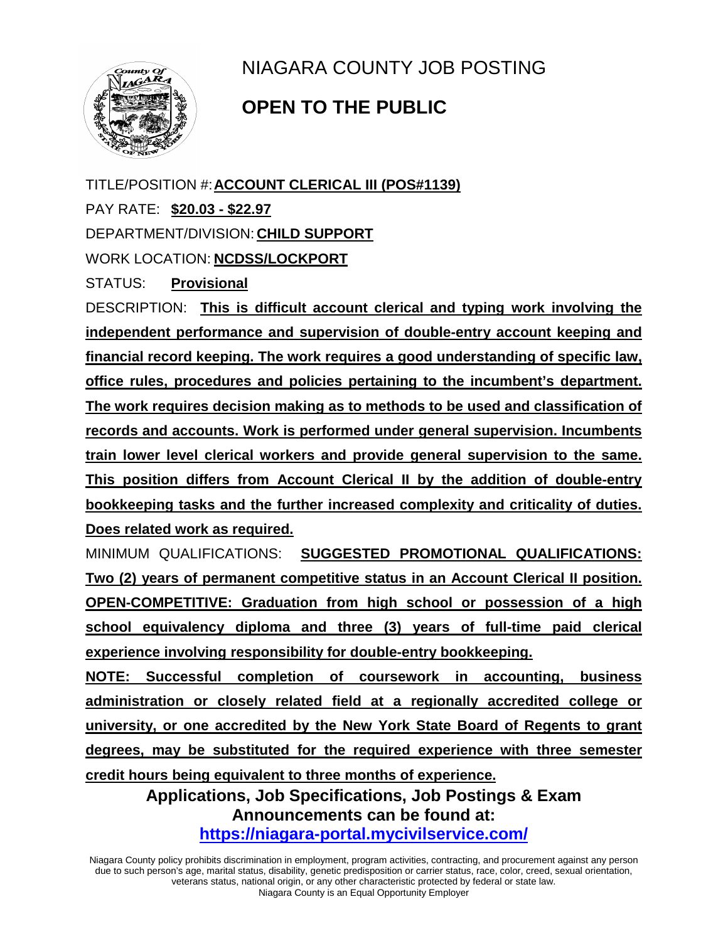

NIAGARA COUNTY JOB POSTING

## **OPEN TO THE PUBLIC**

TITLE/POSITION #:**ACCOUNT CLERICAL III (POS#1139)** PAY RATE: **\$20.03 - \$22.97** DEPARTMENT/DIVISION: **CHILD SUPPORT** WORK LOCATION: **NCDSS/LOCKPORT**

STATUS: **Provisional**

DESCRIPTION: **This is difficult account clerical and typing work involving the independent performance and supervision of double-entry account keeping and financial record keeping. The work requires a good understanding of specific law, office rules, procedures and policies pertaining to the incumbent's department. The work requires decision making as to methods to be used and classification of records and accounts. Work is performed under general supervision. Incumbents train lower level clerical workers and provide general supervision to the same. This position differs from Account Clerical II by the addition of double-entry bookkeeping tasks and the further increased complexity and criticality of duties. Does related work as required.**

MINIMUM QUALIFICATIONS: **SUGGESTED PROMOTIONAL QUALIFICATIONS: Two (2) years of permanent competitive status in an Account Clerical II position. OPEN-COMPETITIVE: Graduation from high school or possession of a high school equivalency diploma and three (3) years of full-time paid clerical experience involving responsibility for double-entry bookkeeping.** 

**NOTE: Successful completion of coursework in accounting, business administration or closely related field at a regionally accredited college or university, or one accredited by the New York State Board of Regents to grant degrees, may be substituted for the required experience with three semester credit hours being equivalent to three months of experience.**

> **Applications, Job Specifications, Job Postings & Exam Announcements can be found at: <https://niagara-portal.mycivilservice.com/>**

Niagara County policy prohibits discrimination in employment, program activities, contracting, and procurement against any person due to such person's age, marital status, disability, genetic predisposition or carrier status, race, color, creed, sexual orientation, veterans status, national origin, or any other characteristic protected by federal or state law. Niagara County is an Equal Opportunity Employer